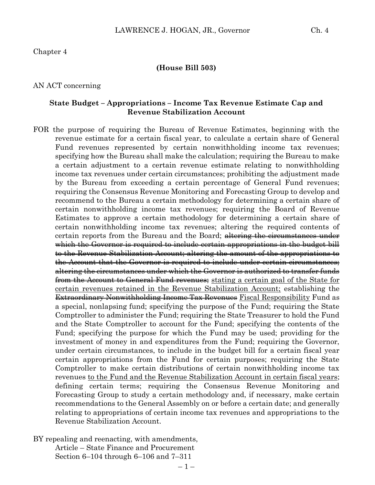Chapter 4

#### **(House Bill 503)**

#### AN ACT concerning

#### **State Budget – Appropriations – Income Tax Revenue Estimate Cap and Revenue Stabilization Account**

FOR the purpose of requiring the Bureau of Revenue Estimates, beginning with the revenue estimate for a certain fiscal year, to calculate a certain share of General Fund revenues represented by certain nonwithholding income tax revenues; specifying how the Bureau shall make the calculation; requiring the Bureau to make a certain adjustment to a certain revenue estimate relating to nonwithholding income tax revenues under certain circumstances; prohibiting the adjustment made by the Bureau from exceeding a certain percentage of General Fund revenues; requiring the Consensus Revenue Monitoring and Forecasting Group to develop and recommend to the Bureau a certain methodology for determining a certain share of certain nonwithholding income tax revenues; requiring the Board of Revenue Estimates to approve a certain methodology for determining a certain share of certain nonwithholding income tax revenues; altering the required contents of certain reports from the Bureau and the Board; altering the circumstances under which the Governor is required to include certain appropriations in the budget bill to the Revenue Stabilization Account; altering the amount of the appropriations to the Account that the Governor is required to include under certain circumstances; altering the circumstances under which the Governor is authorized to transfer funds from the Account to General Fund revenues; stating a certain goal of the State for certain revenues retained in the Revenue Stabilization Account; establishing the Extraordinary Nonwithholding Income Tax Revenues Fiscal Responsibility Fund as a special, nonlapsing fund; specifying the purpose of the Fund; requiring the State Comptroller to administer the Fund; requiring the State Treasurer to hold the Fund and the State Comptroller to account for the Fund; specifying the contents of the Fund; specifying the purpose for which the Fund may be used; providing for the investment of money in and expenditures from the Fund; requiring the Governor, under certain circumstances, to include in the budget bill for a certain fiscal year certain appropriations from the Fund for certain purposes; requiring the State Comptroller to make certain distributions of certain nonwithholding income tax revenues to the Fund and the Revenue Stabilization Account in certain fiscal years; defining certain terms; requiring the Consensus Revenue Monitoring and Forecasting Group to study a certain methodology and, if necessary, make certain recommendations to the General Assembly on or before a certain date; and generally relating to appropriations of certain income tax revenues and appropriations to the Revenue Stabilization Account.

BY repealing and reenacting, with amendments, Article – State Finance and Procurement Section 6–104 through 6–106 and 7–311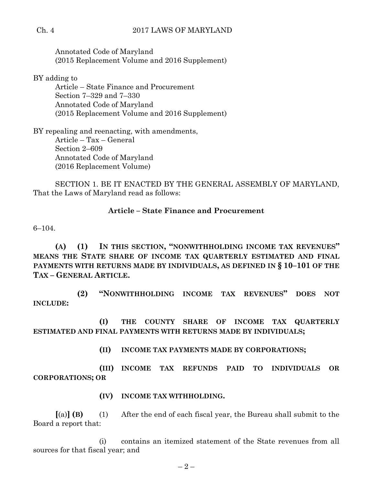#### Ch. 4 2017 LAWS OF MARYLAND

Annotated Code of Maryland (2015 Replacement Volume and 2016 Supplement)

BY adding to

Article – State Finance and Procurement Section 7–329 and 7–330 Annotated Code of Maryland (2015 Replacement Volume and 2016 Supplement)

BY repealing and reenacting, with amendments, Article – Tax – General Section 2–609 Annotated Code of Maryland (2016 Replacement Volume)

SECTION 1. BE IT ENACTED BY THE GENERAL ASSEMBLY OF MARYLAND, That the Laws of Maryland read as follows:

#### **Article – State Finance and Procurement**

6–104.

**(A) (1) IN THIS SECTION, "NONWITHHOLDING INCOME TAX REVENUES" MEANS THE STATE SHARE OF INCOME TAX QUARTERLY ESTIMATED AND FINAL PAYMENTS WITH RETURNS MADE BY INDIVIDUALS, AS DEFINED IN § 10–101 OF THE TAX – GENERAL ARTICLE.**

**(2) "NONWITHHOLDING INCOME TAX REVENUES" DOES NOT INCLUDE:**

**(I) THE COUNTY SHARE OF INCOME TAX QUARTERLY ESTIMATED AND FINAL PAYMENTS WITH RETURNS MADE BY INDIVIDUALS;**

**(II) INCOME TAX PAYMENTS MADE BY CORPORATIONS;**

**(III) INCOME TAX REFUNDS PAID TO INDIVIDUALS OR CORPORATIONS; OR**

**(IV) INCOME TAX WITHHOLDING.**

**[**(a)**] (B)** (1) After the end of each fiscal year, the Bureau shall submit to the Board a report that:

(i) contains an itemized statement of the State revenues from all sources for that fiscal year; and

 $-2-$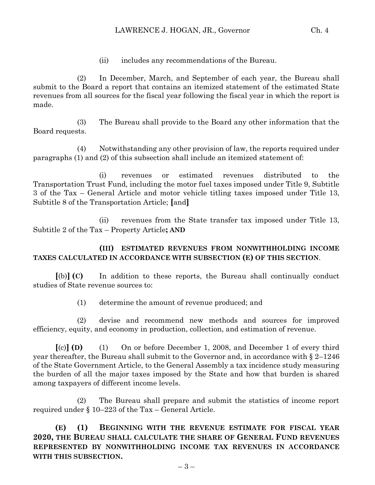(ii) includes any recommendations of the Bureau.

(2) In December, March, and September of each year, the Bureau shall submit to the Board a report that contains an itemized statement of the estimated State revenues from all sources for the fiscal year following the fiscal year in which the report is made.

(3) The Bureau shall provide to the Board any other information that the Board requests.

(4) Notwithstanding any other provision of law, the reports required under paragraphs (1) and (2) of this subsection shall include an itemized statement of:

(i) revenues or estimated revenues distributed to the Transportation Trust Fund, including the motor fuel taxes imposed under Title 9, Subtitle 3 of the Tax – General Article and motor vehicle titling taxes imposed under Title 13, Subtitle 8 of the Transportation Article; **[**and**]**

(ii) revenues from the State transfer tax imposed under Title 13, Subtitle 2 of the Tax – Property Article**; AND**

#### **(III) ESTIMATED REVENUES FROM NONWITHHOLDING INCOME TAXES CALCULATED IN ACCORDANCE WITH SUBSECTION (E) OF THIS SECTION**.

**[**(b)**] (C)** In addition to these reports, the Bureau shall continually conduct studies of State revenue sources to:

(1) determine the amount of revenue produced; and

(2) devise and recommend new methods and sources for improved efficiency, equity, and economy in production, collection, and estimation of revenue.

**[**(c)**] (D)** (1) On or before December 1, 2008, and December 1 of every third year thereafter, the Bureau shall submit to the Governor and, in accordance with § 2–1246 of the State Government Article, to the General Assembly a tax incidence study measuring the burden of all the major taxes imposed by the State and how that burden is shared among taxpayers of different income levels.

(2) The Bureau shall prepare and submit the statistics of income report required under  $\S 10-223$  of the Tax – General Article.

**(E) (1) BEGINNING WITH THE REVENUE ESTIMATE FOR FISCAL YEAR 2020, THE BUREAU SHALL CALCULATE THE SHARE OF GENERAL FUND REVENUES REPRESENTED BY NONWITHHOLDING INCOME TAX REVENUES IN ACCORDANCE WITH THIS SUBSECTION.**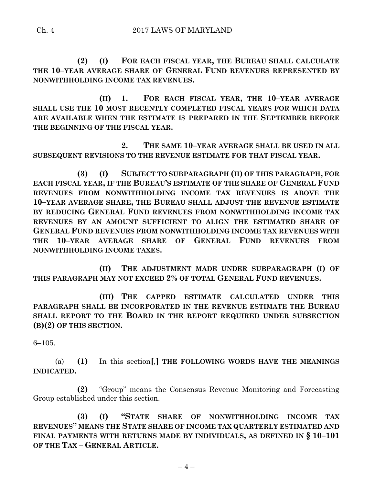**(2) (I) FOR EACH FISCAL YEAR, THE BUREAU SHALL CALCULATE THE 10–YEAR AVERAGE SHARE OF GENERAL FUND REVENUES REPRESENTED BY NONWITHHOLDING INCOME TAX REVENUES.**

**(II) 1. FOR EACH FISCAL YEAR, THE 10–YEAR AVERAGE SHALL USE THE 10 MOST RECENTLY COMPLETED FISCAL YEARS FOR WHICH DATA ARE AVAILABLE WHEN THE ESTIMATE IS PREPARED IN THE SEPTEMBER BEFORE THE BEGINNING OF THE FISCAL YEAR.**

**2. THE SAME 10–YEAR AVERAGE SHALL BE USED IN ALL SUBSEQUENT REVISIONS TO THE REVENUE ESTIMATE FOR THAT FISCAL YEAR.**

**(3) (I) SUBJECT TO SUBPARAGRAPH (II) OF THIS PARAGRAPH, FOR EACH FISCAL YEAR, IF THE BUREAU'S ESTIMATE OF THE SHARE OF GENERAL FUND REVENUES FROM NONWITHHOLDING INCOME TAX REVENUES IS ABOVE THE 10–YEAR AVERAGE SHARE, THE BUREAU SHALL ADJUST THE REVENUE ESTIMATE BY REDUCING GENERAL FUND REVENUES FROM NONWITHHOLDING INCOME TAX REVENUES BY AN AMOUNT SUFFICIENT TO ALIGN THE ESTIMATED SHARE OF GENERAL FUND REVENUES FROM NONWITHHOLDING INCOME TAX REVENUES WITH THE 10–YEAR AVERAGE SHARE OF GENERAL FUND REVENUES FROM NONWITHHOLDING INCOME TAXES.**

**(II) THE ADJUSTMENT MADE UNDER SUBPARAGRAPH (I) OF THIS PARAGRAPH MAY NOT EXCEED 2% OF TOTAL GENERAL FUND REVENUES.**

**(III) THE CAPPED ESTIMATE CALCULATED UNDER THIS PARAGRAPH SHALL BE INCORPORATED IN THE REVENUE ESTIMATE THE BUREAU SHALL REPORT TO THE BOARD IN THE REPORT REQUIRED UNDER SUBSECTION (B)(2) OF THIS SECTION.**

6–105.

(a) **(1)** In this section**[**,**] THE FOLLOWING WORDS HAVE THE MEANINGS INDICATED.**

**(2)** "Group" means the Consensus Revenue Monitoring and Forecasting Group established under this section.

**(3) (I) "STATE SHARE OF NONWITHHOLDING INCOME TAX REVENUES" MEANS THE STATE SHARE OF INCOME TAX QUARTERLY ESTIMATED AND FINAL PAYMENTS WITH RETURNS MADE BY INDIVIDUALS, AS DEFINED IN § 10–101 OF THE TAX – GENERAL ARTICLE.**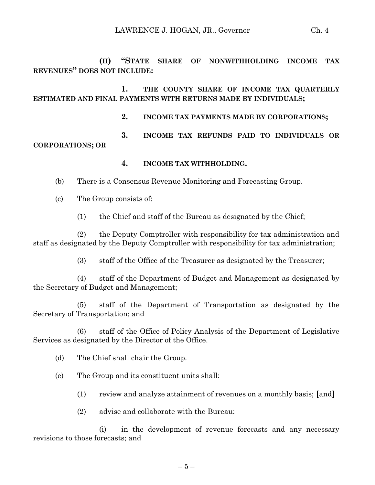**(II) "STATE SHARE OF NONWITHHOLDING INCOME TAX REVENUES" DOES NOT INCLUDE:**

**1. THE COUNTY SHARE OF INCOME TAX QUARTERLY ESTIMATED AND FINAL PAYMENTS WITH RETURNS MADE BY INDIVIDUALS;**

- **2. INCOME TAX PAYMENTS MADE BY CORPORATIONS;**
- **3. INCOME TAX REFUNDS PAID TO INDIVIDUALS OR CORPORATIONS; OR**
	- **4. INCOME TAX WITHHOLDING.**
	- (b) There is a Consensus Revenue Monitoring and Forecasting Group.
	- (c) The Group consists of:
		- (1) the Chief and staff of the Bureau as designated by the Chief;

(2) the Deputy Comptroller with responsibility for tax administration and staff as designated by the Deputy Comptroller with responsibility for tax administration;

(3) staff of the Office of the Treasurer as designated by the Treasurer;

(4) staff of the Department of Budget and Management as designated by the Secretary of Budget and Management;

(5) staff of the Department of Transportation as designated by the Secretary of Transportation; and

(6) staff of the Office of Policy Analysis of the Department of Legislative Services as designated by the Director of the Office.

- (d) The Chief shall chair the Group.
- (e) The Group and its constituent units shall:
	- (1) review and analyze attainment of revenues on a monthly basis; **[**and**]**
	- (2) advise and collaborate with the Bureau:

(i) in the development of revenue forecasts and any necessary revisions to those forecasts; and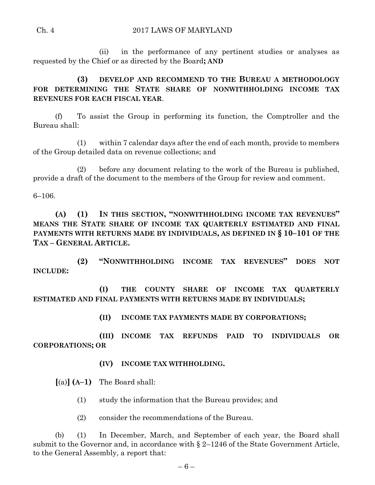(ii) in the performance of any pertinent studies or analyses as requested by the Chief or as directed by the Board**; AND** 

**(3) DEVELOP AND RECOMMEND TO THE BUREAU A METHODOLOGY FOR DETERMINING THE STATE SHARE OF NONWITHHOLDING INCOME TAX REVENUES FOR EACH FISCAL YEAR**.

(f) To assist the Group in performing its function, the Comptroller and the Bureau shall:

(1) within 7 calendar days after the end of each month, provide to members of the Group detailed data on revenue collections; and

(2) before any document relating to the work of the Bureau is published, provide a draft of the document to the members of the Group for review and comment.

6–106.

**(A) (1) IN THIS SECTION, "NONWITHHOLDING INCOME TAX REVENUES" MEANS THE STATE SHARE OF INCOME TAX QUARTERLY ESTIMATED AND FINAL PAYMENTS WITH RETURNS MADE BY INDIVIDUALS, AS DEFINED IN § 10–101 OF THE TAX – GENERAL ARTICLE.**

**(2) "NONWITHHOLDING INCOME TAX REVENUES" DOES NOT INCLUDE:**

**(I) THE COUNTY SHARE OF INCOME TAX QUARTERLY ESTIMATED AND FINAL PAYMENTS WITH RETURNS MADE BY INDIVIDUALS;**

**(II) INCOME TAX PAYMENTS MADE BY CORPORATIONS;**

**(III) INCOME TAX REFUNDS PAID TO INDIVIDUALS OR CORPORATIONS; OR**

**(IV) INCOME TAX WITHHOLDING.**

**[**(a)**] (A–1)** The Board shall:

(1) study the information that the Bureau provides; and

(2) consider the recommendations of the Bureau.

(b) (1) In December, March, and September of each year, the Board shall submit to the Governor and, in accordance with § 2–1246 of the State Government Article, to the General Assembly, a report that: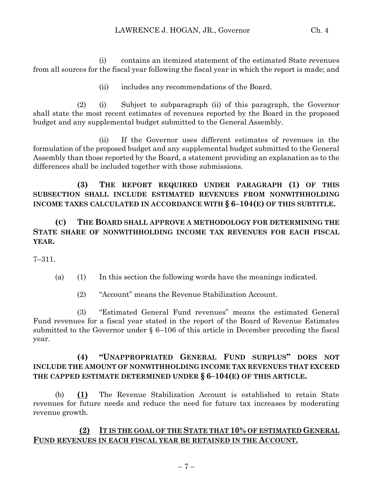(i) contains an itemized statement of the estimated State revenues from all sources for the fiscal year following the fiscal year in which the report is made; and

(ii) includes any recommendations of the Board.

(2) (i) Subject to subparagraph (ii) of this paragraph, the Governor shall state the most recent estimates of revenues reported by the Board in the proposed budget and any supplemental budget submitted to the General Assembly.

(ii) If the Governor uses different estimates of revenues in the formulation of the proposed budget and any supplemental budget submitted to the General Assembly than those reported by the Board, a statement providing an explanation as to the differences shall be included together with those submissions.

**(3) THE REPORT REQUIRED UNDER PARAGRAPH (1) OF THIS SUBSECTION SHALL INCLUDE ESTIMATED REVENUES FROM NONWITHHOLDING INCOME TAXES CALCULATED IN ACCORDANCE WITH § 6–104(E) OF THIS SUBTITLE.**

#### **(C) THE BOARD SHALL APPROVE A METHODOLOGY FOR DETERMINING THE STATE SHARE OF NONWITHHOLDING INCOME TAX REVENUES FOR EACH FISCAL YEAR.**

7–311.

- (a) (1) In this section the following words have the meanings indicated.
	- (2) "Account" means the Revenue Stabilization Account.

(3) "Estimated General Fund revenues" means the estimated General Fund revenues for a fiscal year stated in the report of the Board of Revenue Estimates submitted to the Governor under § 6–106 of this article in December preceding the fiscal year.

### **(4) "UNAPPROPRIATED GENERAL FUND SURPLUS" DOES NOT INCLUDE THE AMOUNT OF NONWITHHOLDING INCOME TAX REVENUES THAT EXCEED THE CAPPED ESTIMATE DETERMINED UNDER § 6–104(E) OF THIS ARTICLE.**

(b) **(1)** The Revenue Stabilization Account is established to retain State revenues for future needs and reduce the need for future tax increases by moderating revenue growth.

# **(2) IT IS THE GOAL OF THE STATE THAT 10% OF ESTIMATED GENERAL FUND REVENUES IN EACH FISCAL YEAR BE RETAINED IN THE ACCOUNT.**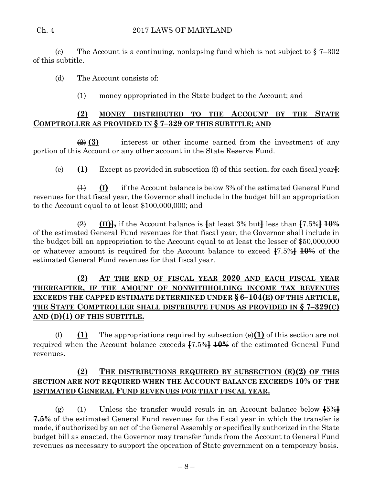(c) The Account is a continuing, nonlapsing fund which is not subject to  $\S 7-302$ of this subtitle.

(d) The Account consists of:

(1) money appropriated in the State budget to the Account;  $\theta$ 

# **(2) MONEY DISTRIBUTED TO THE ACCOUNT BY THE STATE COMPTROLLER AS PROVIDED IN § 7–329 OF THIS SUBTITLE; AND**

(2) **(3)** interest or other income earned from the investment of any portion of this Account or any other account in the State Reserve Fund.

(e) **(1)** Except as provided in subsection (f) of this section, for each fiscal year**[**:

(1) **(I)** if the Account balance is below 3% of the estimated General Fund revenues for that fiscal year, the Governor shall include in the budget bill an appropriation to the Account equal to at least \$100,000,000; and

 $\overline{(2)}$   $(\text{II})$ , if the Account balance is  $\overline{4}$  at least 3% but  $\overline{4}$  less than  $\overline{47.5\%}$   $\overline{40\%}$ of the estimated General Fund revenues for that fiscal year, the Governor shall include in the budget bill an appropriation to the Account equal to at least the lesser of \$50,000,000 or whatever amount is required for the Account balance to exceed **[**7.5%**] 10%** of the estimated General Fund revenues for that fiscal year.

# **(2) AT THE END OF FISCAL YEAR 2020 AND EACH FISCAL YEAR THEREAFTER, IF THE AMOUNT OF NONWITHHOLDING INCOME TAX REVENUES EXCEEDS THE CAPPED ESTIMATE DETERMINED UNDER § 6–104(E) OF THIS ARTICLE, THE STATE COMPTROLLER SHALL DISTRIBUTE FUNDS AS PROVIDED IN § 7–329(C) AND (D)(1) OF THIS SUBTITLE.**

(f) **(1)** The appropriations required by subsection (e)**(1)** of this section are not required when the Account balance exceeds **[**7.5%**] 10%** of the estimated General Fund revenues.

### **(2) THE DISTRIBUTIONS REQUIRED BY SUBSECTION (E)(2) OF THIS SECTION ARE NOT REQUIRED WHEN THE ACCOUNT BALANCE EXCEEDS 10% OF THE ESTIMATED GENERAL FUND REVENUES FOR THAT FISCAL YEAR.**

(g) (1) Unless the transfer would result in an Account balance below **[**5%**] 7.5%** of the estimated General Fund revenues for the fiscal year in which the transfer is made, if authorized by an act of the General Assembly or specifically authorized in the State budget bill as enacted, the Governor may transfer funds from the Account to General Fund revenues as necessary to support the operation of State government on a temporary basis.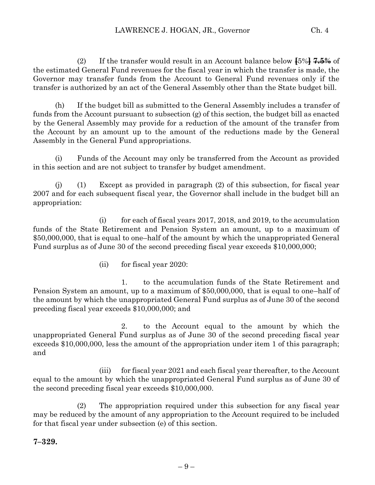(2) If the transfer would result in an Account balance below **[**5%**] 7.5%** of the estimated General Fund revenues for the fiscal year in which the transfer is made, the Governor may transfer funds from the Account to General Fund revenues only if the transfer is authorized by an act of the General Assembly other than the State budget bill.

(h) If the budget bill as submitted to the General Assembly includes a transfer of funds from the Account pursuant to subsection (g) of this section, the budget bill as enacted by the General Assembly may provide for a reduction of the amount of the transfer from the Account by an amount up to the amount of the reductions made by the General Assembly in the General Fund appropriations.

(i) Funds of the Account may only be transferred from the Account as provided in this section and are not subject to transfer by budget amendment.

(j) (1) Except as provided in paragraph (2) of this subsection, for fiscal year 2007 and for each subsequent fiscal year, the Governor shall include in the budget bill an appropriation:

(i) for each of fiscal years 2017, 2018, and 2019, to the accumulation funds of the State Retirement and Pension System an amount, up to a maximum of \$50,000,000, that is equal to one–half of the amount by which the unappropriated General Fund surplus as of June 30 of the second preceding fiscal year exceeds \$10,000,000;

(ii) for fiscal year 2020:

1. to the accumulation funds of the State Retirement and Pension System an amount, up to a maximum of \$50,000,000, that is equal to one–half of the amount by which the unappropriated General Fund surplus as of June 30 of the second preceding fiscal year exceeds \$10,000,000; and

2. to the Account equal to the amount by which the unappropriated General Fund surplus as of June 30 of the second preceding fiscal year exceeds \$10,000,000, less the amount of the appropriation under item 1 of this paragraph; and

(iii) for fiscal year 2021 and each fiscal year thereafter, to the Account equal to the amount by which the unappropriated General Fund surplus as of June 30 of the second preceding fiscal year exceeds \$10,000,000.

(2) The appropriation required under this subsection for any fiscal year may be reduced by the amount of any appropriation to the Account required to be included for that fiscal year under subsection (e) of this section.

**7–329.**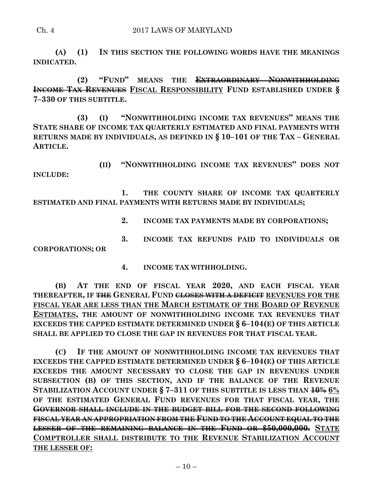#### Ch. 4 2017 LAWS OF MARYLAND

**(A) (1) IN THIS SECTION THE FOLLOWING WORDS HAVE THE MEANINGS INDICATED.**

**(2) "FUND" MEANS THE EXTRAORDINARY NONWITHHOLDING INCOME TAX REVENUES FISCAL RESPONSIBILITY FUND ESTABLISHED UNDER § 7–330 OF THIS SUBTITLE.**

**(3) (I) "NONWITHHOLDING INCOME TAX REVENUES" MEANS THE STATE SHARE OF INCOME TAX QUARTERLY ESTIMATED AND FINAL PAYMENTS WITH RETURNS MADE BY INDIVIDUALS, AS DEFINED IN § 10–101 OF THE TAX – GENERAL ARTICLE.**

**(II) "NONWITHHOLDING INCOME TAX REVENUES" DOES NOT INCLUDE:**

**1. THE COUNTY SHARE OF INCOME TAX QUARTERLY ESTIMATED AND FINAL PAYMENTS WITH RETURNS MADE BY INDIVIDUALS;**

- **2. INCOME TAX PAYMENTS MADE BY CORPORATIONS;**
- **3. INCOME TAX REFUNDS PAID TO INDIVIDUALS OR**

**CORPORATIONS; OR**

**4. INCOME TAX WITHHOLDING.**

**(B) AT THE END OF FISCAL YEAR 2020, AND EACH FISCAL YEAR THEREAFTER, IF THE GENERAL FUND CLOSES WITH A DEFICIT REVENUES FOR THE FISCAL YEAR ARE LESS THAN THE MARCH ESTIMATE OF THE BOARD OF REVENUE ESTIMATES, THE AMOUNT OF NONWITHHOLDING INCOME TAX REVENUES THAT EXCEEDS THE CAPPED ESTIMATE DETERMINED UNDER § 6–104(E) OF THIS ARTICLE SHALL BE APPLIED TO CLOSE THE GAP IN REVENUES FOR THAT FISCAL YEAR.**

**(C) IF THE AMOUNT OF NONWITHHOLDING INCOME TAX REVENUES THAT EXCEEDS THE CAPPED ESTIMATE DETERMINED UNDER § 6–104(E) OF THIS ARTICLE EXCEEDS THE AMOUNT NECESSARY TO CLOSE THE GAP IN REVENUES UNDER SUBSECTION (B) OF THIS SECTION, AND IF THE BALANCE OF THE REVENUE STABILIZATION ACCOUNT UNDER § 7–311 OF THIS SUBTITLE IS LESS THAN 10% 6% OF THE ESTIMATED GENERAL FUND REVENUES FOR THAT FISCAL YEAR, THE GOVERNOR SHALL INCLUDE IN THE BUDGET BILL FOR THE SECOND FOLLOWING FISCAL YEAR AN APPROPRIATION FROM THE FUND TO THE ACCOUNT EQUAL TO THE LESSER OF THE REMAINING BALANCE IN THE FUND OR \$50,000,000. STATE COMPTROLLER SHALL DISTRIBUTE TO THE REVENUE STABILIZATION ACCOUNT THE LESSER OF:**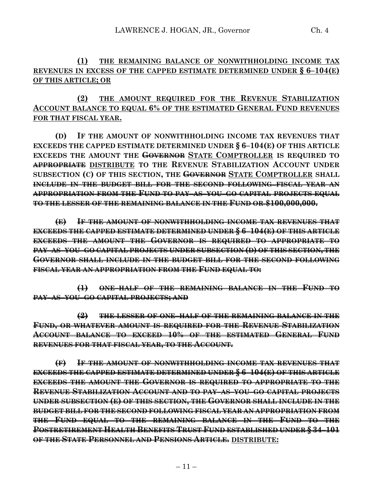**(1) THE REMAINING BALANCE OF NONWITHHOLDING INCOME TAX REVENUES IN EXCESS OF THE CAPPED ESTIMATE DETERMINED UNDER § 6–104(E) OF THIS ARTICLE; OR**

# **(2) THE AMOUNT REQUIRED FOR THE REVENUE STABILIZATION ACCOUNT BALANCE TO EQUAL 6% OF THE ESTIMATED GENERAL FUND REVENUES FOR THAT FISCAL YEAR.**

**(D) IF THE AMOUNT OF NONWITHHOLDING INCOME TAX REVENUES THAT EXCEEDS THE CAPPED ESTIMATE DETERMINED UNDER § 6–104(E) OF THIS ARTICLE EXCEEDS THE AMOUNT THE GOVERNOR STATE COMPTROLLER IS REQUIRED TO APPROPRIATE DISTRIBUTE TO THE REVENUE STABILIZATION ACCOUNT UNDER SUBSECTION (C) OF THIS SECTION, THE GOVERNOR STATE COMPTROLLER SHALL INCLUDE IN THE BUDGET BILL FOR THE SECOND FOLLOWING FISCAL YEAR AN APPROPRIATION FROM THE FUND TO PAY–AS–YOU–GO CAPITAL PROJECTS EQUAL TO THE LESSER OF THE REMAINING BALANCE IN THE FUND OR \$100,000,000.**

**(E) IF THE AMOUNT OF NONWITHHOLDING INCOME TAX REVENUES THAT EXCEEDS THE CAPPED ESTIMATE DETERMINED UNDER § 6–104(E) OF THIS ARTICLE EXCEEDS THE AMOUNT THE GOVERNOR IS REQUIRED TO APPROPRIATE TO PAY–AS–YOU–GO CAPITAL PROJECTS UNDER SUBSECTION (D) OF THIS SECTION, THE GOVERNOR SHALL INCLUDE IN THE BUDGET BILL FOR THE SECOND FOLLOWING FISCAL YEAR AN APPROPRIATION FROM THE FUND EQUAL TO:**

**(1) ONE–HALF OF THE REMAINING BALANCE IN THE FUND TO PAY–AS–YOU–GO CAPITAL PROJECTS; AND** 

**(2) THE LESSER OF ONE–HALF OF THE REMAINING BALANCE IN THE FUND, OR WHATEVER AMOUNT IS REQUIRED FOR THE REVENUE STABILIZATION ACCOUNT BALANCE TO EXCEED 10% OF THE ESTIMATED GENERAL FUND REVENUES FOR THAT FISCAL YEAR, TO THE ACCOUNT.**

**(F) IF THE AMOUNT OF NONWITHHOLDING INCOME TAX REVENUES THAT EXCEEDS THE CAPPED ESTIMATE DETERMINED UNDER § 6–104(E) OF THIS ARTICLE EXCEEDS THE AMOUNT THE GOVERNOR IS REQUIRED TO APPROPRIATE TO THE REVENUE STABILIZATION ACCOUNT AND TO PAY–AS–YOU–GO CAPITAL PROJECTS UNDER SUBSECTION (E) OF THIS SECTION, THE GOVERNOR SHALL INCLUDE IN THE BUDGET BILL FOR THE SECOND FOLLOWING FISCAL YEAR AN APPROPRIATION FROM THE FUND EQUAL TO THE REMAINING BALANCE IN THE FUND TO THE POSTRETIREMENT HEALTH BENEFITS TRUST FUND ESTABLISHED UNDER § 34–101 OF THE STATE PERSONNEL AND PENSIONS ARTICLE. DISTRIBUTE:**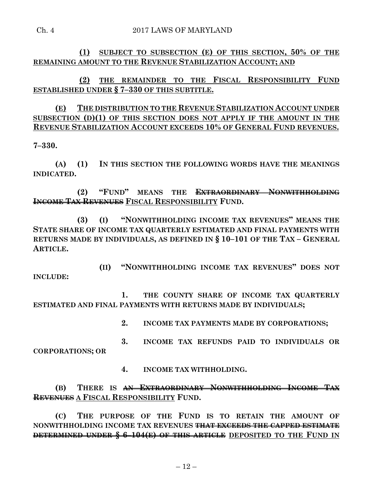**(1) SUBJECT TO SUBSECTION (E) OF THIS SECTION, 50% OF THE REMAINING AMOUNT TO THE REVENUE STABILIZATION ACCOUNT; AND**

**(2) THE REMAINDER TO THE FISCAL RESPONSIBILITY FUND ESTABLISHED UNDER § 7–330 OF THIS SUBTITLE.**

**(E) THE DISTRIBUTION TO THE REVENUE STABILIZATION ACCOUNT UNDER SUBSECTION (D)(1) OF THIS SECTION DOES NOT APPLY IF THE AMOUNT IN THE REVENUE STABILIZATION ACCOUNT EXCEEDS 10% OF GENERAL FUND REVENUES.**

**7–330.**

**(A) (1) IN THIS SECTION THE FOLLOWING WORDS HAVE THE MEANINGS INDICATED.**

**(2) "FUND" MEANS THE EXTRAORDINARY NONWITHHOLDING INCOME TAX REVENUES FISCAL RESPONSIBILITY FUND.**

**(3) (I) "NONWITHHOLDING INCOME TAX REVENUES" MEANS THE STATE SHARE OF INCOME TAX QUARTERLY ESTIMATED AND FINAL PAYMENTS WITH RETURNS MADE BY INDIVIDUALS, AS DEFINED IN § 10–101 OF THE TAX – GENERAL ARTICLE.**

**(II) "NONWITHHOLDING INCOME TAX REVENUES" DOES NOT INCLUDE:**

**1. THE COUNTY SHARE OF INCOME TAX QUARTERLY ESTIMATED AND FINAL PAYMENTS WITH RETURNS MADE BY INDIVIDUALS;**

**2. INCOME TAX PAYMENTS MADE BY CORPORATIONS;**

**3. INCOME TAX REFUNDS PAID TO INDIVIDUALS OR CORPORATIONS; OR**

**4. INCOME TAX WITHHOLDING.**

**(B) THERE IS AN EXTRAORDINARY NONWITHHOLDING INCOME TAX REVENUES A FISCAL RESPONSIBILITY FUND.**

**(C) THE PURPOSE OF THE FUND IS TO RETAIN THE AMOUNT OF NONWITHHOLDING INCOME TAX REVENUES THAT EXCEEDS THE CAPPED ESTIMATE DETERMINED UNDER § 6–104(E) OF THIS ARTICLE DEPOSITED TO THE FUND IN**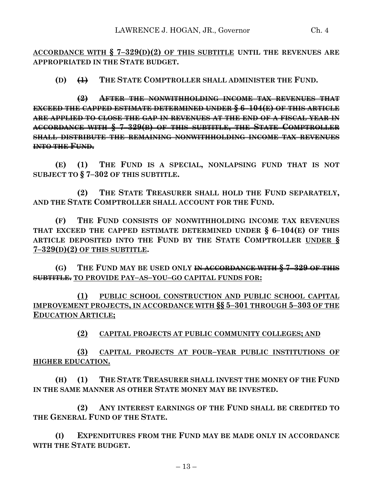**ACCORDANCE WITH § 7–329(D)(2) OF THIS SUBTITLE UNTIL THE REVENUES ARE APPROPRIATED IN THE STATE BUDGET.**

**(D) (1) THE STATE COMPTROLLER SHALL ADMINISTER THE FUND.**

**(2) AFTER THE NONWITHHOLDING INCOME TAX REVENUES THAT EXCEED THE CAPPED ESTIMATE DETERMINED UNDER § 6–104(E) OF THIS ARTICLE ARE APPLIED TO CLOSE THE GAP IN REVENUES AT THE END OF A FISCAL YEAR IN ACCORDANCE WITH § 7–329(B) OF THIS SUBTITLE, THE STATE COMPTROLLER SHALL DISTRIBUTE THE REMAINING NONWITHHOLDING INCOME TAX REVENUES INTO THE FUND.**

**(E) (1) THE FUND IS A SPECIAL, NONLAPSING FUND THAT IS NOT SUBJECT TO § 7–302 OF THIS SUBTITLE.**

**(2) THE STATE TREASURER SHALL HOLD THE FUND SEPARATELY, AND THE STATE COMPTROLLER SHALL ACCOUNT FOR THE FUND.**

**(F) THE FUND CONSISTS OF NONWITHHOLDING INCOME TAX REVENUES THAT EXCEED THE CAPPED ESTIMATE DETERMINED UNDER § 6–104(E) OF THIS ARTICLE DEPOSITED INTO THE FUND BY THE STATE COMPTROLLER UNDER § 7–329(D)(2) OF THIS SUBTITLE.**

**(G) THE FUND MAY BE USED ONLY IN ACCORDANCE WITH § 7–329 OF THIS SUBTITLE. TO PROVIDE PAY–AS–YOU–GO CAPITAL FUNDS FOR:**

**(1) PUBLIC SCHOOL CONSTRUCTION AND PUBLIC SCHOOL CAPITAL IMPROVEMENT PROJECTS, IN ACCORDANCE WITH §§ 5–301 THROUGH 5–303 OF THE EDUCATION ARTICLE;**

**(2) CAPITAL PROJECTS AT PUBLIC COMMUNITY COLLEGES; AND**

**(3) CAPITAL PROJECTS AT FOUR–YEAR PUBLIC INSTITUTIONS OF HIGHER EDUCATION.**

**(H) (1) THE STATE TREASURER SHALL INVEST THE MONEY OF THE FUND IN THE SAME MANNER AS OTHER STATE MONEY MAY BE INVESTED.**

**(2) ANY INTEREST EARNINGS OF THE FUND SHALL BE CREDITED TO THE GENERAL FUND OF THE STATE.**

**(I) EXPENDITURES FROM THE FUND MAY BE MADE ONLY IN ACCORDANCE WITH THE STATE BUDGET.**